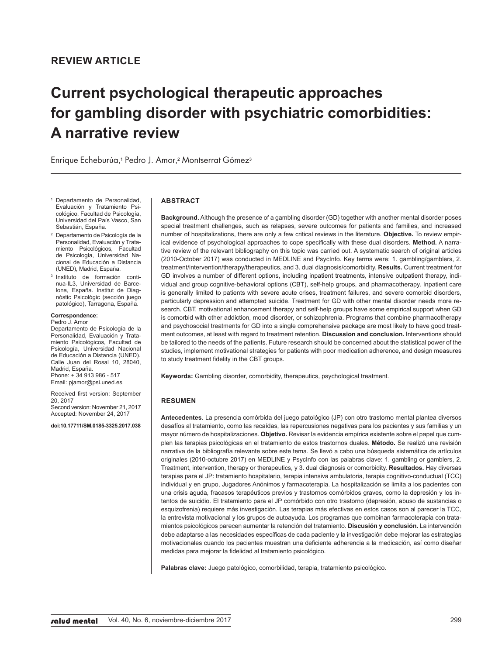# **Current psychological therapeutic approaches for gambling disorder with psychiatric comorbidities: A narrative review**

Enrique Echeburúa, <sup>1</sup> Pedro J. Amor, <sup>2</sup> Montserrat Gómez<sup>3</sup>

- Departamento de Personalidad, Evaluación y Tratamiento Psicológico, Facultad de Psicología, Universidad del País Vasco, San Sebastián, España.
- <sup>2</sup> Departamento de Psicología de la Personalidad, Evaluación y Tratamiento Psicológicos, Facultad de Psicología, Universidad Nacional de Educación a Distancia (UNED), Madrid, España.
- <sup>3</sup> Instituto de formación continua-IL3, Universidad de Barcelona, España. Institut de Diagnòstic Psicològic (sección juego patológico), Tarragona, España.

**Correspondence:**

Pedro J. Amor Departamento de Psicología de la Personalidad, Evaluación y Tratamiento Psicológicos, Facultad de Psicología, Universidad Nacional de Educación a Distancia (UNED). Calle Juan del Rosal 10, 28040, Madrid, España. Phone: + 34 913 986 - 517

Email: pjamor@psi.uned.es

Received first version: September 20, 2017 Second version: November 21, 2017 Accepted: November 24, 2017

**doi:10.17711/SM.0185-3325.2017.038**

#### **ABSTRACT**

**Background.** Although the presence of a gambling disorder (GD) together with another mental disorder poses special treatment challenges, such as relapses, severe outcomes for patients and families, and increased number of hospitalizations, there are only a few critical reviews in the literature. **Objective.** To review empirical evidence of psychological approaches to cope specifically with these dual disorders. **Method.** A narrative review of the relevant bibliography on this topic was carried out. A systematic search of original articles (2010-October 2017) was conducted in MEDLINE and PsycInfo. Key terms were: 1. gambling/gamblers, 2. treatment/intervention/therapy/therapeutics, and 3. dual diagnosis/comorbidity. **Results.** Current treatment for GD involves a number of different options, including inpatient treatments, intensive outpatient therapy, individual and group cognitive-behavioral options (CBT), self-help groups, and pharmacotherapy. Inpatient care is generally limited to patients with severe acute crises, treatment failures, and severe comorbid disorders, particularly depression and attempted suicide. Treatment for GD with other mental disorder needs more research. CBT, motivational enhancement therapy and self-help groups have some empirical support when GD is comorbid with other addiction, mood disorder, or schizophrenia. Programs that combine pharmacotherapy and psychosocial treatments for GD into a single comprehensive package are most likely to have good treatment outcomes, at least with regard to treatment retention. **Discussion and conclusion.** Interventions should be tailored to the needs of the patients. Future research should be concerned about the statistical power of the studies, implement motivational strategies for patients with poor medication adherence, and design measures to study treatment fidelity in the CBT groups.

**Keywords:** Gambling disorder, comorbidity, therapeutics, psychological treatment.

#### **RESUMEN**

**Antecedentes.** La presencia comórbida del juego patológico (JP) con otro trastorno mental plantea diversos desafíos al tratamiento, como las recaídas, las repercusiones negativas para los pacientes y sus familias y un mayor número de hospitalizaciones. **Objetivo.** Revisar la evidencia empírica existente sobre el papel que cumplen las terapias psicológicas en el tratamiento de estos trastornos duales. **Método.** Se realizó una revisión narrativa de la bibliografía relevante sobre este tema. Se llevó a cabo una búsqueda sistemática de artículos originales (2010-octubre 2017) en MEDLINE y PsycInfo con las palabras clave: 1. gambling or gamblers, 2. Treatment, intervention, therapy or therapeutics, y 3. dual diagnosis or comorbidity. **Resultados.** Hay diversas terapias para el JP: tratamiento hospitalario, terapia intensiva ambulatoria, terapia cognitivo-conductual (TCC) individual y en grupo, Jugadores Anónimos y farmacoterapia. La hospitalización se limita a los pacientes con una crisis aguda, fracasos terapéuticos previos y trastornos comórbidos graves, como la depresión y los intentos de suicidio. El tratamiento para el JP comórbido con otro trastorno (depresión, abuso de sustancias o esquizofrenia) requiere más investigación. Las terapias más efectivas en estos casos son al parecer la TCC, la entrevista motivacional y los grupos de autoayuda. Los programas que combinan farmacoterapia con tratamientos psicológicos parecen aumentar la retención del tratamiento. **Discusión y conclusión.** La intervención debe adaptarse a las necesidades específicas de cada paciente y la investigación debe mejorar las estrategias motivacionales cuando los pacientes muestran una deficiente adherencia a la medicación, así como diseñar medidas para mejorar la fidelidad al tratamiento psicológico.

**Palabras clave:** Juego patológico, comorbilidad, terapia, tratamiento psicológico.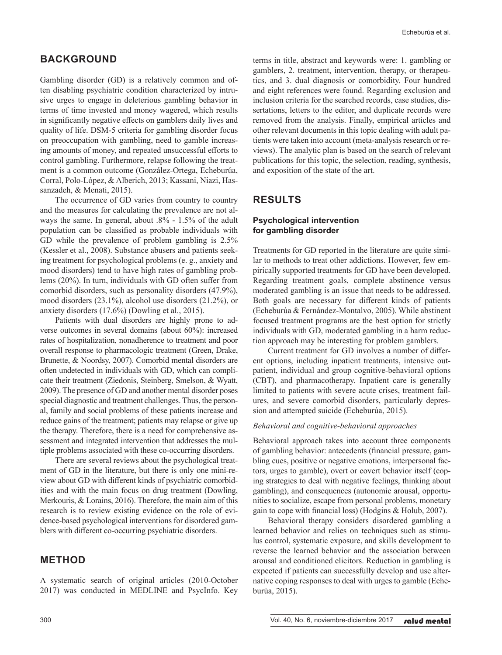# **BACKGROUND**

Gambling disorder (GD) is a relatively common and often disabling psychiatric condition characterized by intrusive urges to engage in deleterious gambling behavior in terms of time invested and money wagered, which results in significantly negative effects on gamblers daily lives and quality of life. DSM-5 criteria for gambling disorder focus on preoccupation with gambling, need to gamble increasing amounts of money, and repeated unsuccessful efforts to control gambling. Furthermore, relapse following the treatment is a common outcome (González-Ortega, Echeburúa, Corral, Polo-López, & Alberich, 2013; Kassani, Niazi, Hassanzadeh, & Menati, 2015).

The occurrence of GD varies from country to country and the measures for calculating the prevalence are not always the same. In general, about .8% - 1.5% of the adult population can be classified as probable individuals with GD while the prevalence of problem gambling is 2.5% (Kessler et al., 2008). Substance abusers and patients seeking treatment for psychological problems (e. g., anxiety and mood disorders) tend to have high rates of gambling problems (20%). In turn, individuals with GD often suffer from comorbid disorders, such as personality disorders (47.9%), mood disorders (23.1%), alcohol use disorders (21.2%), or anxiety disorders (17.6%) (Dowling et al., 2015).

Patients with dual disorders are highly prone to adverse outcomes in several domains (about 60%): increased rates of hospitalization, nonadherence to treatment and poor overall response to pharmacologic treatment (Green, Drake, Brunette, & Noordsy, 2007). Comorbid mental disorders are often undetected in individuals with GD, which can complicate their treatment (Ziedonis, Steinberg, Smelson, & Wyatt, 2009). The presence of GD and another mental disorder poses special diagnostic and treatment challenges. Thus, the personal, family and social problems of these patients increase and reduce gains of the treatment; patients may relapse or give up the therapy. Therefore, there is a need for comprehensive assessment and integrated intervention that addresses the multiple problems associated with these co-occurring disorders.

There are several reviews about the psychological treatment of GD in the literature, but there is only one mini-review about GD with different kinds of psychiatric comorbidities and with the main focus on drug treatment (Dowling, Merkouris, & Lorains, 2016). Therefore, the main aim of this research is to review existing evidence on the role of evidence-based psychological interventions for disordered gamblers with different co-occurring psychiatric disorders.

# **METHOD**

A systematic search of original articles (2010-October 2017) was conducted in MEDLINE and PsycInfo. Key terms in title, abstract and keywords were: 1. gambling or gamblers, 2. treatment, intervention, therapy, or therapeutics, and 3. dual diagnosis or comorbidity. Four hundred and eight references were found. Regarding exclusion and inclusion criteria for the searched records, case studies, dissertations, letters to the editor, and duplicate records were removed from the analysis. Finally, empirical articles and other relevant documents in this topic dealing with adult patients were taken into account (meta-analysis research or reviews). The analytic plan is based on the search of relevant publications for this topic, the selection, reading, synthesis, and exposition of the state of the art.

# **RESULTS**

## **Psychological intervention for gambling disorder**

Treatments for GD reported in the literature are quite similar to methods to treat other addictions. However, few empirically supported treatments for GD have been developed. Regarding treatment goals, complete abstinence versus moderated gambling is an issue that needs to be addressed. Both goals are necessary for different kinds of patients (Echeburúa & Fernández-Montalvo, 2005). While abstinent focused treatment programs are the best option for strictly individuals with GD, moderated gambling in a harm reduction approach may be interesting for problem gamblers.

Current treatment for GD involves a number of different options, including inpatient treatments, intensive outpatient, individual and group cognitive-behavioral options (CBT), and pharmacotherapy. Inpatient care is generally limited to patients with severe acute crises, treatment failures, and severe comorbid disorders, particularly depression and attempted suicide (Echeburúa, 2015).

#### *Behavioral and cognitive-behavioral approaches*

Behavioral approach takes into account three components of gambling behavior: antecedents (financial pressure, gambling cues, positive or negative emotions, interpersonal factors, urges to gamble), overt or covert behavior itself (coping strategies to deal with negative feelings, thinking about gambling), and consequences (autonomic arousal, opportunities to socialize, escape from personal problems, monetary gain to cope with financial loss) (Hodgins & Holub, 2007).

Behavioral therapy considers disordered gambling a learned behavior and relies on techniques such as stimulus control, systematic exposure, and skills development to reverse the learned behavior and the association between arousal and conditioned elicitors. Reduction in gambling is expected if patients can successfully develop and use alternative coping responses to deal with urges to gamble (Echeburúa, 2015).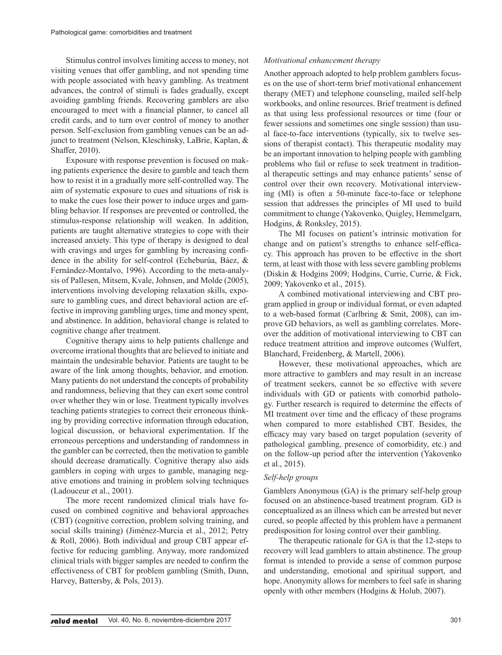Stimulus control involves limiting access to money, not visiting venues that offer gambling, and not spending time with people associated with heavy gambling. As treatment advances, the control of stimuli is fades gradually, except avoiding gambling friends. Recovering gamblers are also encouraged to meet with a financial planner, to cancel all credit cards, and to turn over control of money to another person. Self-exclusion from gambling venues can be an adjunct to treatment (Nelson, Kleschinsky, LaBrie, Kaplan, & Shaffer, 2010).

Exposure with response prevention is focused on making patients experience the desire to gamble and teach them how to resist it in a gradually more self-controlled way. The aim of systematic exposure to cues and situations of risk is to make the cues lose their power to induce urges and gambling behavior. If responses are prevented or controlled, the stimulus-response relationship will weaken. In addition, patients are taught alternative strategies to cope with their increased anxiety. This type of therapy is designed to deal with cravings and urges for gambling by increasing confidence in the ability for self-control (Echeburúa, Báez, & Fernández-Montalvo, 1996). According to the meta-analysis of Pallesen, Mitsem, Kvale, Johnsen, and Molde (2005), interventions involving developing relaxation skills, exposure to gambling cues, and direct behavioral action are effective in improving gambling urges, time and money spent, and abstinence. In addition, behavioral change is related to cognitive change after treatment.

Cognitive therapy aims to help patients challenge and overcome irrational thoughts that are believed to initiate and maintain the undesirable behavior. Patients are taught to be aware of the link among thoughts, behavior, and emotion. Many patients do not understand the concepts of probability and randomness, believing that they can exert some control over whether they win or lose. Treatment typically involves teaching patients strategies to correct their erroneous thinking by providing corrective information through education, logical discussion, or behavioral experimentation. If the erroneous perceptions and understanding of randomness in the gambler can be corrected, then the motivation to gamble should decrease dramatically. Cognitive therapy also aids gamblers in coping with urges to gamble, managing negative emotions and training in problem solving techniques (Ladouceur et al., 2001).

The more recent randomized clinical trials have focused on combined cognitive and behavioral approaches (CBT) (cognitive correction, problem solving training, and social skills training) (Jiménez-Murcia et al., 2012; Petry & Roll, 2006). Both individual and group CBT appear effective for reducing gambling. Anyway, more randomized clinical trials with bigger samples are needed to confirm the effectiveness of CBT for problem gambling (Smith, Dunn, Harvey, Battersby, & Pols, 2013).

#### *Motivational enhancement therapy*

Another approach adopted to help problem gamblers focuses on the use of short-term brief motivational enhancement therapy (MET) and telephone counseling, mailed self-help workbooks, and online resources. Brief treatment is defined as that using less professional resources or time (four or fewer sessions and sometimes one single session) than usual face-to-face interventions (typically, six to twelve sessions of therapist contact). This therapeutic modality may be an important innovation to helping people with gambling problems who fail or refuse to seek treatment in traditional therapeutic settings and may enhance patients' sense of control over their own recovery. Motivational interviewing (MI) is often a 50-minute face-to-face or telephone session that addresses the principles of MI used to build commitment to change (Yakovenko, Quigley, Hemmelgarn, Hodgins, & Ronksley, 2015).

The MI focuses on patient's intrinsic motivation for change and on patient's strengths to enhance self-efficacy. This approach has proven to be effective in the short term, at least with those with less severe gambling problems (Diskin & Hodgins 2009; Hodgins, Currie, Currie, & Fick, 2009; Yakovenko et al., 2015).

A combined motivational interviewing and CBT program applied in group or individual format, or even adapted to a web-based format (Carlbring & Smit, 2008), can improve GD behaviors, as well as gambling correlates. Moreover the addition of motivational interviewing to CBT can reduce treatment attrition and improve outcomes (Wulfert, Blanchard, Freidenberg, & Martell, 2006).

However, these motivational approaches, which are more attractive to gamblers and may result in an increase of treatment seekers, cannot be so effective with severe individuals with GD or patients with comorbid pathology. Further research is required to determine the effects of MI treatment over time and the efficacy of these programs when compared to more established CBT. Besides, the efficacy may vary based on target population (severity of pathological gambling, presence of comorbidity, etc.) and on the follow-up period after the intervention (Yakovenko et al., 2015).

#### *Self-help groups*

Gamblers Anonymous (GA) is the primary self-help group focused on an abstinence-based treatment program. GD is conceptualized as an illness which can be arrested but never cured, so people affected by this problem have a permanent predisposition for losing control over their gambling.

The therapeutic rationale for GA is that the 12-steps to recovery will lead gamblers to attain abstinence. The group format is intended to provide a sense of common purpose and understanding, emotional and spiritual support, and hope. Anonymity allows for members to feel safe in sharing openly with other members (Hodgins & Holub, 2007).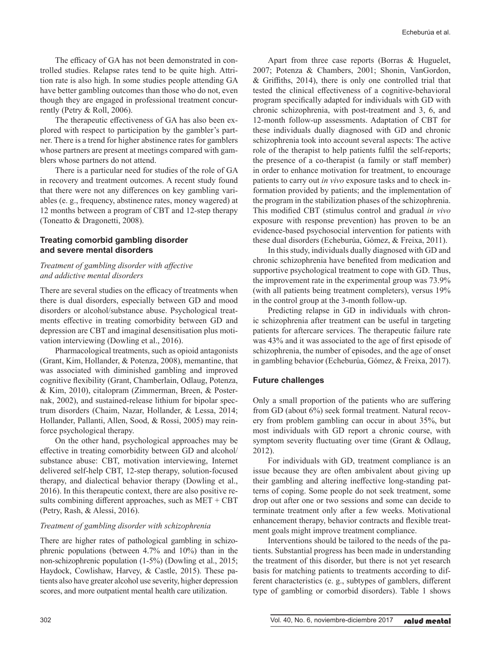The efficacy of GA has not been demonstrated in controlled studies. Relapse rates tend to be quite high. Attrition rate is also high. In some studies people attending GA have better gambling outcomes than those who do not, even though they are engaged in professional treatment concurrently (Petry & Roll, 2006).

The therapeutic effectiveness of GA has also been explored with respect to participation by the gambler's partner. There is a trend for higher abstinence rates for gamblers whose partners are present at meetings compared with gamblers whose partners do not attend.

There is a particular need for studies of the role of GA in recovery and treatment outcomes. A recent study found that there were not any differences on key gambling variables (e. g., frequency, abstinence rates, money wagered) at 12 months between a program of CBT and 12-step therapy (Toneatto & Dragonetti, 2008).

## **Treating comorbid gambling disorder and severe mental disorders**

### *Treatment of gambling disorder with affective and addictive mental disorders*

There are several studies on the efficacy of treatments when there is dual disorders, especially between GD and mood disorders or alcohol/substance abuse. Psychological treatments effective in treating comorbidity between GD and depression are CBT and imaginal desensitisation plus motivation interviewing (Dowling et al., 2016).

Pharmacological treatments, such as opioid antagonists (Grant, Kim, Hollander, & Potenza, 2008), memantine, that was associated with diminished gambling and improved cognitive flexibility (Grant, Chamberlain, Odlaug, Potenza, & Kim, 2010), citalopram (Zimmerman, Breen, & Posternak, 2002), and sustained-release lithium for bipolar spectrum disorders (Chaim, Nazar, Hollander, & Lessa, 2014; Hollander, Pallanti, Allen, Sood, & Rossi, 2005) may reinforce psychological therapy.

On the other hand, psychological approaches may be effective in treating comorbidity between GD and alcohol/ substance abuse: CBT, motivation interviewing, Internet delivered self-help CBT, 12-step therapy, solution-focused therapy, and dialectical behavior therapy (Dowling et al., 2016). In this therapeutic context, there are also positive results combining different approaches, such as MET + CBT (Petry, Rash, & Alessi, 2016).

#### *Treatment of gambling disorder with schizophrenia*

There are higher rates of pathological gambling in schizophrenic populations (between 4.7% and 10%) than in the non-schizophrenic population (1-5%) (Dowling et al., 2015; Haydock, Cowlishaw, Harvey, & Castle, 2015). These patients also have greater alcohol use severity, higher depression scores, and more outpatient mental health care utilization.

Apart from three case reports (Borras & Huguelet, 2007; Potenza & Chambers, 2001; Shonin, VanGordon, & Griffiths, 2014), there is only one controlled trial that tested the clinical effectiveness of a cognitive-behavioral program specifically adapted for individuals with GD with chronic schizophrenia, with post-treatment and 3, 6, and 12-month follow-up assessments. Adaptation of CBT for these individuals dually diagnosed with GD and chronic schizophrenia took into account several aspects: The active role of the therapist to help patients fulfil the self-reports; the presence of a co-therapist (a family or staff member) in order to enhance motivation for treatment, to encourage patients to carry out *in vivo* exposure tasks and to check information provided by patients; and the implementation of the program in the stabilization phases of the schizophrenia. This modified CBT (stimulus control and gradual *in vivo* exposure with response prevention) has proven to be an evidence-based psychosocial intervention for patients with these dual disorders (Echeburúa, Gómez, & Freixa, 2011).

In this study, individuals dually diagnosed with GD and chronic schizophrenia have benefited from medication and supportive psychological treatment to cope with GD. Thus, the improvement rate in the experimental group was 73.9% (with all patients being treatment completers), versus 19% in the control group at the 3-month follow-up.

Predicting relapse in GD in individuals with chronic schizophrenia after treatment can be useful in targeting patients for aftercare services. The therapeutic failure rate was 43% and it was associated to the age of first episode of schizophrenia, the number of episodes, and the age of onset in gambling behavior (Echeburúa, Gómez, & Freixa, 2017).

## **Future challenges**

Only a small proportion of the patients who are suffering from GD (about 6%) seek formal treatment. Natural recovery from problem gambling can occur in about 35%, but most individuals with GD report a chronic course, with symptom severity fluctuating over time (Grant & Odlaug, 2012).

For individuals with GD, treatment compliance is an issue because they are often ambivalent about giving up their gambling and altering ineffective long-standing patterns of coping. Some people do not seek treatment, some drop out after one or two sessions and some can decide to terminate treatment only after a few weeks. Motivational enhancement therapy, behavior contracts and flexible treatment goals might improve treatment compliance.

Interventions should be tailored to the needs of the patients. Substantial progress has been made in understanding the treatment of this disorder, but there is not yet research basis for matching patients to treatments according to different characteristics (e. g., subtypes of gamblers, different type of gambling or comorbid disorders). Table 1 shows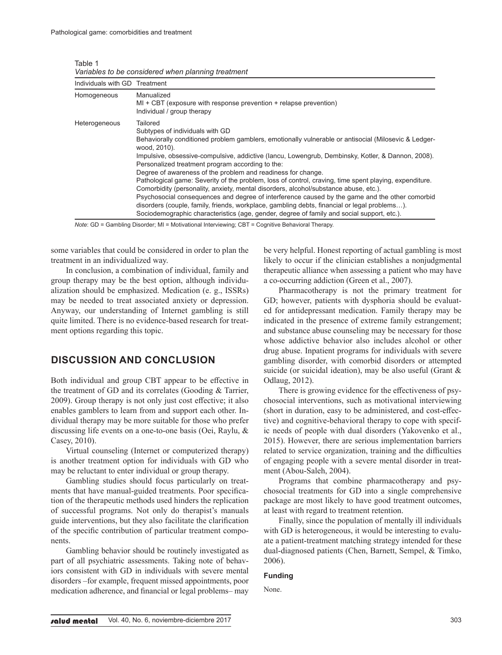| Individuals with GD Treatment |                                                                                                                                                                                                                                                                                                                                                                                                                                                                                                                                                                                                                                                                                                                                                                                                                                                                                                |
|-------------------------------|------------------------------------------------------------------------------------------------------------------------------------------------------------------------------------------------------------------------------------------------------------------------------------------------------------------------------------------------------------------------------------------------------------------------------------------------------------------------------------------------------------------------------------------------------------------------------------------------------------------------------------------------------------------------------------------------------------------------------------------------------------------------------------------------------------------------------------------------------------------------------------------------|
| Homogeneous                   | Manualized<br>$MI + CBT$ (exposure with response prevention $+$ relapse prevention)<br>Individual / group therapy                                                                                                                                                                                                                                                                                                                                                                                                                                                                                                                                                                                                                                                                                                                                                                              |
| Heterogeneous                 | Tailored<br>Subtypes of individuals with GD<br>Behaviorally conditioned problem gamblers, emotionally vulnerable or antisocial (Milosevic & Ledger-<br>wood. 2010).<br>Impulsive, obsessive-compulsive, addictive (Iancu, Lowengrub, Dembinsky, Kotler, & Dannon, 2008).<br>Personalized treatment program according to the:<br>Degree of awareness of the problem and readiness for change.<br>Pathological game: Severity of the problem, loss of control, craving, time spent playing, expenditure.<br>Comorbidity (personality, anxiety, mental disorders, alcohol/substance abuse, etc.).<br>Psychosocial consequences and degree of interference caused by the game and the other comorbid<br>disorders (couple, family, friends, workplace, gambling debts, financial or legal problems).<br>Sociodemographic characteristics (age, gender, degree of family and social support, etc.). |

Table 1 *Variables to be considered when planning treatment*

*Note*: GD = Gambling Disorder; MI = Motivational Interviewing; CBT = Cognitive Behavioral Therapy.

some variables that could be considered in order to plan the treatment in an individualized way.

In conclusion, a combination of individual, family and group therapy may be the best option, although individualization should be emphasized. Medication (e. g., ISSRs) may be needed to treat associated anxiety or depression. Anyway, our understanding of Internet gambling is still quite limited. There is no evidence-based research for treatment options regarding this topic.

# **DISCUSSION AND CONCLUSION**

Both individual and group CBT appear to be effective in the treatment of GD and its correlates (Gooding & Tarrier, 2009). Group therapy is not only just cost effective; it also enables gamblers to learn from and support each other. Individual therapy may be more suitable for those who prefer discussing life events on a one-to-one basis (Oei, Raylu, & Casey, 2010).

Virtual counseling (Internet or computerized therapy) is another treatment option for individuals with GD who may be reluctant to enter individual or group therapy.

Gambling studies should focus particularly on treatments that have manual-guided treatments. Poor specification of the therapeutic methods used hinders the replication of successful programs. Not only do therapist's manuals guide interventions, but they also facilitate the clarification of the specific contribution of particular treatment components.

Gambling behavior should be routinely investigated as part of all psychiatric assessments. Taking note of behaviors consistent with GD in individuals with severe mental disorders ‒for example, frequent missed appointments, poor medication adherence, and financial or legal problems-may

be very helpful. Honest reporting of actual gambling is most likely to occur if the clinician establishes a nonjudgmental therapeutic alliance when assessing a patient who may have a co-occurring addiction (Green et al., 2007).

Pharmacotherapy is not the primary treatment for GD; however, patients with dysphoria should be evaluated for antidepressant medication. Family therapy may be indicated in the presence of extreme family estrangement; and substance abuse counseling may be necessary for those whose addictive behavior also includes alcohol or other drug abuse. Inpatient programs for individuals with severe gambling disorder, with comorbid disorders or attempted suicide (or suicidal ideation), may be also useful (Grant & Odlaug, 2012).

There is growing evidence for the effectiveness of psychosocial interventions, such as motivational interviewing (short in duration, easy to be administered, and cost-effective) and cognitive-behavioral therapy to cope with specific needs of people with dual disorders (Yakovenko et al., 2015). However, there are serious implementation barriers related to service organization, training and the difficulties of engaging people with a severe mental disorder in treatment (Abou-Saleh, 2004).

Programs that combine pharmacotherapy and psychosocial treatments for GD into a single comprehensive package are most likely to have good treatment outcomes, at least with regard to treatment retention.

Finally, since the population of mentally ill individuals with GD is heterogeneous, it would be interesting to evaluate a patient-treatment matching strategy intended for these dual-diagnosed patients (Chen, Barnett, Sempel, & Timko, 2006).

#### **Funding**

None.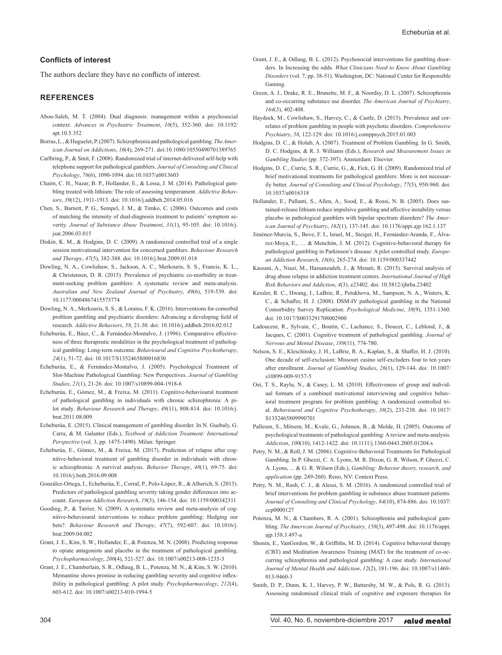#### **Conflicts of interest**

The authors declare they have no conflicts of interest.

#### **REFERENCES**

- Abou-Saleh, M. T. (2004). Dual diagnosis: management within a psychosocial context. *Advances in Psychiatric Treatment*, *10*(5), 352-360. doi: 10.1192/ apt.10.5.352
- Borras, L., & Huguelet, P. (2007). Schizophrenia and pathological gambling. *The American Journal on Addictions*, *16*(4), 269-271. doi:10.1080/10550490701389765
- Carlbring, P., & Smit, F. (2008). Randomized trial of internet-delivered self-help with telephone support for pathological gamblers. *Journal of Consulting and Clinical Psychology*, *76*(6), 1090-1094. doi:10.1037/a0013603
- Chaim, C. H., Nazar, B. P., Hollander, E., & Lessa, J. M. (2014). Pathological gambling treated with lithium: The role of assessing temperament. *Addictive Behaviors*, *39*(12), 1911-1913. doi: 10.1016/j.addbeh.2014.05.016
- Chen, S., Barnett, P. G., Sempel, J. M., & Timko, C. (2006). Outcomes and costs of matching the intensity of dual-diagnosis treatment to patients' symptom severity. *Journal of Substance Abuse Treatment*, *31*(1), 95-105. doi: 10.1016/j. jsat.2006.03.015
- Diskin, K. M., & Hodgins, D. C. (2009). A randomized controlled trial of a single session motivational intervention for concerned gamblers. *Behaviour Research and Therapy*, *47*(5), 382-388. doi: 10.1016/j.brat.2009.01.018
- Dowling, N. A., Cowlishaw, S., Jackson, A. C., Merkouris, S. S., Francis, K. L., & Christensen, D. R. (2015). Prevalence of psychiatric co-morbidity in treatment-seeking problem gamblers: A systematic review and meta-analysis. *Australian and New Zealand Journal of Psychiatry*, *49*(6), 519-539. doi: 10.1177/0004867415575774
- Dowling, N. A., Merkouris, S. S., & Lorains, F. K. (2016). Interventions for comorbid problem gambling and psychiatric disorders: Advancing a developing field of research. *Addictive Behaviors*, *58*, 21-30. doi: 10.1016/j.addbeh.2016.02.012
- Echeburúa, E., Báez, C., & Fernández-Montalvo, J. (1996). Comparative effectiveness of three therapeutic modalities in the psychological treatment of pathological gambling: Long-term outcome. *Behavioural and Cognitive Psychotherapy*, *24*(1), 51-72. doi: 10.1017/S1352465800016830
- Echeburúa, E., & Fernández-Montalvo, J. (2005). Psychological Treatment of Slot-Machine Pathological Gambling: New Perspectives. *Journal of Gambling Studies*, *21*(1), 21-26. doi: 10.1007/s10899-004-1918-6
- Echeburúa, E., Gómez, M., & Freixa, M. (2011). Cognitive-behavioural treatment of pathological gambling in individuals with chronic schizophrenia: A pilot study. *Behaviour Research and Therapy*, *49*(11), 808-814. doi: 10.1016/j. brat.2011.08.009
- Echeburúa, E. (2015). Clinical management of gambling disorder. In N. Guebaly, G. Carra, & M. Galanter (Eds.), *Textbook of Addiction Treatment: International Perspective* (vol. 3, pp. 1475-1490). Milan: Springer.
- Echeburúa, E., Gómez, M., & Freixa, M. (2017). Prediction of relapse after cognitive-behavioral treatment of gambling disorder in individuals with chronic schizophrenia: A survival analysis. *Behavior Therapy*, *48*(1), 69-75. doi: 10.1016/j.beth.2016.09.008
- González-Ortega, I., Echeburúa, E., Corral, P., Polo-López, R., & Alberich, S. (2013). Predictors of pathological gambling severity taking gender differences into account. *European Addiction Research*, *19*(3), 146-154. doi: 10.1159/000342311
- Gooding, P., & Tarrier, N. (2009). A systematic review and meta-analysis of cognitive-behavioural interventions to reduce problem gambling: Hedging our bets?. *Behaviour Research and Therapy*, *47*(7), 592-607. doi: 10.1016/j. brat.2009.04.002
- Grant, J. E., Kim, S. W., Hollander, E., & Potenza, M. N. (2008). Predicting response to opiate antagonists and placebo in the treatment of pathological gambling. *Psychopharmacology*, *200*(4), 521-527. doi: 10.1007/s00213-008-1235-3
- Grant, J. E., Chamberlain, S. R., Odlaug, B. L., Potenza, M. N., & Kim, S. W. (2010). Memantine shows promise in reducing gambling severity and cognitive inflexibility in pathological gambling: A pilot study. *Psychopharmacology*, *212*(4), 603-612. doi: 10.1007/s00213-010-1994-5
- Grant, J. E., & Odlaug, B. L. (2012). Psychosocial interventions for gambling disorders. In Increasing the odds. *What Clinicians Need to Know About Gambling Disorders* (vol. 7, pp. 38-51). Washington, DC: National Center for Responsible Gaming.
- Green, A. I., Drake, R. E., Brunette, M. F., & Noordsy, D. L. (2007). Schizophrenia and co-occurring substance use disorder. *The American Journal of Psychiatry*, *164*(3), 402-408.
- Haydock, M., Cowlishaw, S., Harvey, C., & Castle, D. (2015). Prevalence and correlates of problem gambling in people with psychotic disorders. *Comprehensive Psychiatry*, *58*, 122-129. doi: 10.1016/j.comppsych.2015.01.003
- Hodgins, D. C., & Holub, A. (2007). Treatment of Problem Gambling. In G. Smith, D. C. Hodgins, & R. J. Williams (Eds.), *Research and Measurement Issues in Gambling Studies* (pp. 372-397). Amsterdam: Elsevier.
- Hodgins, D. C., Currie, S. R., Currie, G., &, Fick, G. H. (2009). Randomized trial of brief motivational treatments for pathological gamblers: More is not necessarily better. *Journal of Consulting and Clinical Psychology*, *77*(5), 950-960. doi: 10.1037/a0016318
- Hollander, E., Pallanti, S., Allen, A., Sood, E., & Rossi, N. B. (2005). Does sustained-release lithium reduce impulsive gambling and affective instability versus placebo in pathological gamblers with bipolar spectrum disorders? *The American Journal of Psychiatry*, *162*(1), 137-145. doi: 10.1176/appi.ajp.162.1.137
- Jiménez-Murcia, S., Bove, F. I., lsrael, M., Steiger, H., Fernández-Aranda, F., Álvarez-Moya, E., … & Menchón, J. M. (2012). Cognitive-behavioral therapy for pathological gambling in Parkinson's disease: A pilot controlled study. *European Addiction Research*, *18*(6), 265-274. doi: 10.1159/000337442
- Kassani, A., Niazi, M., Hassanzadeh, J., & Menati, R. (2015). Survival analysis of drug abuse relapse in addiction treatment centers. *International Journal of High Risk Behaviors and Addiction*, *4*(3), e23402. doi: 10.5812/ijhrba.23402
- Kessler, R. C., Hwang, I., LaBrie, R., Petukhova, M., Sampson, N. A., Winters, K. C., & Schaffer, H. J. (2008). DSM-IV pathological gambling in the National Comorbidity Survey Replication. *Psychological Medicine*, *38*(9), 1351-1360. doi: 10.1017/S0033291708002900
- Ladouceur, R., Sylvain, C., Boutin, C., Lachance, S., Doucet, C., Leblond, J., & Jacques, C. (2001). Cognitive treatment of pathological gambling. *Journal of Nervous and Mental Disease*, *189*(11), 774-780.
- Nelson, S. E., Kleschinsky, J. H., LaBrie, R. A., Kaplan, S., & Shaffer, H. J. (2010). One decade of self-exclusion: Missouri casino self-excluders four to ten years after enrollment. *Journal of Gambling Studies*, *26*(1), 129-144. doi: 10.1007/ s10899-009-9157-5
- Oei, T. S., Raylu, N., & Casey, L. M. (2010). Effectiveness of group and individual formats of a combined motivational interviewing and cognitive behavioral treatment program for problem gambling: A randomized controlled trial. *Behavioural and Cognitive Psychotherapy*, *38*(2), 233-238. doi: 10.1017/ S1352465809990701
- Pallesen, S., Mitsem, M., Kvale, G., Johnsen, B., & Molde, H. (2005). Outcome of psychological treatments of pathological gambling: A review and meta-analysis. *Addiction*, *100*(10), 1412-1422. doi: 10.1111/j.1360-0443.2005.01204.x
- Petry, N. M., & Roll, J. M. (2006). Cognitive-Behavioral Treatments for Pathological Gambling. In P. Ghezzi, C. A. Lyons, M. R. Dixon, G. R. Wilson, P. Ghezzi, C. A. Lyons, ... & G. R. Wilson (Eds.), *Gambling: Behavior theory, research, and application* (pp. 249-260). Reno, NV: Context Press.
- Petry, N. M., Rash, C. J., & Alessi, S. M. (2016). A randomized controlled trial of brief interventions for problem gambling in substance abuse treatment patients. *Journal of Consulting and Clinical Psychology*, *84*(10), 874-886. doi: 10.1037/ ccp0000127
- Potenza, M. N., & Chambers, R. A. (2001). Schizophrenia and pathological gambling. *The American Journal of Psychiatry*, *158*(3), 497-498. doi: 10.1176/appi. ajp.158.3.497-a
- Shonin, E., VanGordon, W., & Griffiths, M. D. (2014). Cognitive behavioral therapy (CBT) and Meditation Awareness Training (MAT) for the treatment of co-occurring schizophrenia and pathological gambling: A case study. *International Journal of Mental Health and Addiction*, *12*(2), 181-196. doi: 10.1007/s11469- 013-9460-3
- Smith, D. P., Dunn, K. I., Harvey, P. W., Battersby, M. W., & Pols, R. G. (2013). Assessing randomised clinical trials of cognitive and exposure therapies for